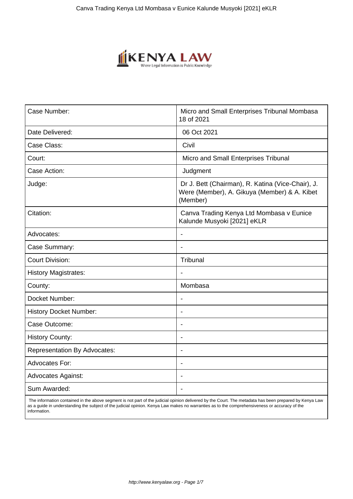

| Case Number:                        | Micro and Small Enterprises Tribunal Mombasa<br>18 of 2021                                                    |
|-------------------------------------|---------------------------------------------------------------------------------------------------------------|
| Date Delivered:                     | 06 Oct 2021                                                                                                   |
| Case Class:                         | Civil                                                                                                         |
| Court:                              | Micro and Small Enterprises Tribunal                                                                          |
| Case Action:                        | Judgment                                                                                                      |
| Judge:                              | Dr J. Bett (Chairman), R. Katina (Vice-Chair), J.<br>Were (Member), A. Gikuya (Member) & A. Kibet<br>(Member) |
| Citation:                           | Canva Trading Kenya Ltd Mombasa v Eunice<br>Kalunde Musyoki [2021] eKLR                                       |
| Advocates:                          |                                                                                                               |
| Case Summary:                       | $\blacksquare$                                                                                                |
| <b>Court Division:</b>              | Tribunal                                                                                                      |
| <b>History Magistrates:</b>         |                                                                                                               |
| County:                             | Mombasa                                                                                                       |
| Docket Number:                      | Ĭ.                                                                                                            |
| <b>History Docket Number:</b>       | $\blacksquare$                                                                                                |
| Case Outcome:                       | $\blacksquare$                                                                                                |
| <b>History County:</b>              | Ĭ.                                                                                                            |
| <b>Representation By Advocates:</b> | $\blacksquare$                                                                                                |
| <b>Advocates For:</b>               |                                                                                                               |
| <b>Advocates Against:</b>           |                                                                                                               |
| Sum Awarded:                        | $\blacksquare$                                                                                                |

 The information contained in the above segment is not part of the judicial opinion delivered by the Court. The metadata has been prepared by Kenya Law as a guide in understanding the subject of the judicial opinion. Kenya Law makes no warranties as to the comprehensiveness or accuracy of the information.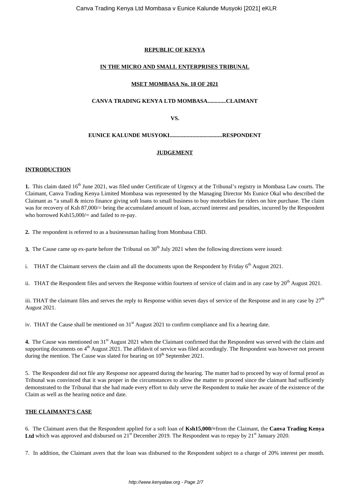# **REPUBLIC OF KENYA**

# **IN THE MICRO AND SMALL ENTERPRISES TRIBUNAL**

## **MSET MOMBASA No. 18 OF 2021**

## **CANVA TRADING KENYA LTD MOMBASA.............CLAIMANT**

**VS.**

# **EUNICE KALUNDE MUSYOKI.....................................RESPONDENT**

## **JUDGEMENT**

#### **INTRODUCTION**

**1.** This claim dated 16<sup>th</sup> June 2021, was filed under Certificate of Urgency at the Tribunal's registry in Mombasa Law courts. The Claimant, Canva Trading Kenya Limited Mombasa was represented by the Managing Director Ms Eunice Okal who described the Claimant as "a small & micro finance giving soft loans to small business to buy motorbikes for riders on hire purchase. The claim was for recovery of Ksh 87,000/= being the accumulated amount of loan, accrued interest and penalties, incurred by the Respondent who borrowed Ksh15,000/= and failed to re-pay.

**2.** The respondent is referred to as a businessman hailing from Mombasa CBD.

**3.** The Cause came up ex-parte before the Tribunal on 30<sup>th</sup> July 2021 when the following directions were issued:

i. THAT the Claimant servers the claim and all the documents upon the Respondent by Friday  $6<sup>th</sup>$  August 2021.

ii. THAT the Respondent files and servers the Response within fourteen of service of claim and in any case by 20<sup>th</sup> August 2021.

iii. THAT the claimant files and serves the reply to Response within seven days of service of the Response and in any case by  $27<sup>th</sup>$ August 2021.

iv. THAT the Cause shall be mentioned on  $31<sup>st</sup>$  August 2021 to confirm compliance and fix a hearing date.

4. The Cause was mentioned on 31<sup>st</sup> August 2021 when the Claimant confirmed that the Respondent was served with the claim and supporting documents on  $4<sup>th</sup>$  August 2021. The affidavit of service was filed accordingly. The Respondent was however not present during the mention. The Cause was slated for hearing on  $10^{th}$  September 2021.

5. The Respondent did not file any Response nor appeared during the hearing. The matter had to proceed by way of formal proof as Tribunal was convinced that it was proper in the circumstances to allow the matter to proceed since the claimant had sufficiently demonstrated to the Tribunal that she had made every effort to duly serve the Respondent to make her aware of the existence of the Claim as well as the hearing notice and date.

# **THE CLAIMANT'S CASE**

6. The Claimant avers that the Respondent applied for a soft loan of **Ksh15,000/=**from the Claimant, the **Canva Trading Kenya** Ltd which was approved and disbursed on  $21<sup>st</sup>$  December 2019. The Respondent was to repay by  $21<sup>st</sup>$  January 2020.

7. In addition, the Claimant avers that the loan was disbursed to the Respondent subject to a charge of 20% interest per month.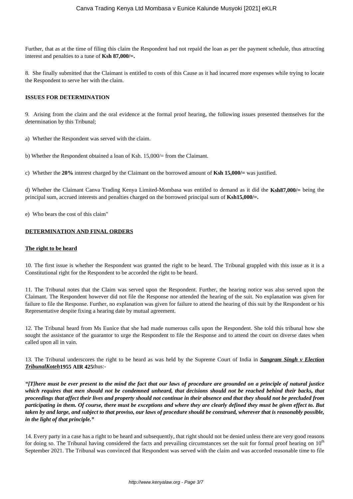Further, that as at the time of filing this claim the Respondent had not repaid the loan as per the payment schedule, thus attracting interest and penalties to a tune of **Ksh 87,000/=.**

8. She finally submitted that the Claimant is entitled to costs of this Cause as it had incurred more expenses while trying to locate the Respondent to serve her with the claim.

#### **ISSUES FOR DETERMINATION**

9. Arising from the claim and the oral evidence at the formal proof hearing, the following issues presented themselves for the determination by this Tribunal;

- a) Whether the Respondent was served with the claim.
- b) Whether the Respondent obtained a loan of Ksh. 15,000/= from the Claimant.
- c) Whether the **20%** interest charged by the Claimant on the borrowed amount of **Ksh 15,000/=** was justified.

d) Whether the Claimant Canva Trading Kenya Limited-Mombasa was entitled to demand as it did the **Ksh87,000/=** being the principal sum, accrued interests and penalties charged on the borrowed principal sum of **Ksh15,000/=.**

e) Who bears the cost of this claim"

#### **DETERMINATION AND FINAL ORDERS**

#### **The right to be heard**

10. The first issue is whether the Respondent was granted the right to be heard. The Tribunal grappled with this issue as it is a Constitutional right for the Respondent to be accorded the right to be heard.

11. The Tribunal notes that the Claim was served upon the Respondent. Further, the hearing notice was also served upon the Claimant. The Respondent however did not file the Response nor attended the hearing of the suit. No explanation was given for failure to file the Response. Further, no explanation was given for failure to attend the hearing of this suit by the Respondent or his Representative despite fixing a hearing date by mutual agreement.

12. The Tribunal heard from Ms Eunice that she had made numerous calls upon the Respondent. She told this tribunal how she sought the assistance of the guarantor to urge the Respondent to file the Response and to attend the court on diverse dates when called upon all in vain.

13. The Tribunal underscores the right to be heard as was held by the Supreme Court of India in *Sangram Singh v Election TribunalKoteh***1955 AIR 425**thus:-

*"[T]here must be ever present to the mind the fact that our laws of procedure are grounded on a principle of natural justice which requires that men should not be condemned unheard, that decisions should not be reached behind their backs, that proceedings that affect their lives and property should not continue in their absence and that they should not be precluded from participating in them. Of course, there must be exceptions and where they are clearly defined they must be given effect to. But taken by and large, and subject to that proviso, our laws of procedure should be construed, wherever that is reasonably possible, in the light of that principle."*

14. Every party in a case has a right to be heard and subsequently, that right should not be denied unless there are very good reasons for doing so. The Tribunal having considered the facts and prevailing circumstances set the suit for formal proof hearing on 10<sup>th</sup> September 2021. The Tribunal was convinced that Respondent was served with the claim and was accorded reasonable time to file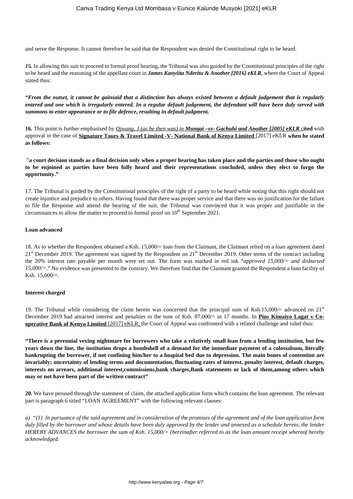and serve the Response. It cannot therefore be said that the Respondent was denied the Constitutional right to be heard.

*15.* In allowing this suit to proceed to formal proof hearing, the Tribunal was also guided by the Constitutional principles of the right to be heard and the reasoning of the appellate court in *James Kanyiita Nderitu & Another [2016] eKLR*, where the Court of Appeal stated thus:

*"From the outset, it cannot be gainsaid that a distinction has always existed between a default judgement that is regularly entered and one which is irregularly entered. In a regular default judgement, the defendant will have been duly served with summons to enter appearance or to file defence, resulting in default judgment.*

**16.** This point is further emphasised by *Ojwang, J (as he then was) in Mungai –vs- Gachuhi and Another [2005] eKLR* c**ited** with approval in the case of **Signature Tours & Travel Limited -V- National Bank of Kenya Limited** [2017] eKLR **when he stated as follows:** 

"**a court decision stands as a final decision only when a proper hearing has taken place and the parties and those who ought to be enjoined as parties have been fully heard and their representations concluded, unless they elect to forgo the opportunity."**

17. The Tribunal is guided by the Constitutional principles of the right of a party to be heard while noting that this right should not create injustice and prejudice to others. Having found that there was proper service and that there was no justification for the failure to file the Response and attend the hearing of the suit, the Tribunal was convinced that it was proper and justifiable in the circumstances to allow the matter to proceed to formal proof on  $10<sup>th</sup>$  September 2021.

#### **Loan advanced**

18. As to whether the Respondent obtained a Ksh. 15,000/= loan from the Claimant, the Claimant relied on a loan agreement dated  $21<sup>st</sup>$  December 2019. The agreement was signed by the Respondent on  $21<sup>st</sup>$  December 2019. Other terms of the contract including the 20% interest rate payable per month were set out. The form was marked in red ink "*approved 15,000/= and disbursed 15,000/=*." No evidence was presented to the contrary. We therefore find that the Claimant granted the Respondent a loan facility of Ksh. 15,000/=.

#### **Interest charged**

19. The Tribunal while considering the claim herein was concerned that the principal sum of Ksh.15,000/= advanced on  $21<sup>st</sup>$ December 2019 had attracted interest and penalties to the tune of Ksh. 87,000/= in 17 months. In **Pius Kimaiyo Lagat v Cooperative Bank of Kenya Limited** [2017] eKLR, the Court of Appeal was confronted with a related challenge and ruled thus:

**"There is a perennial vexing nightmare for borrowers who take a relatively small loan from a lending institution, but few years down the line, the institution drops a bombshell of a demand for the immediate payment of a colossalsum, literally bankrupting the borrower, if not confining him/her to a hospital bed due to depression. The main bones of contention are invariably; uncertainty of lending terms and documentation, fluctuating rates of interest, penalty interest, default charges, interests on arrears, additional interest,commissions,bank charges,Bank statements or lack of them,among others which may or not have been part of the written contract"**

**20.** We have perused through the statement of claim, the attached application form which contains the loan agreement. The relevant part is paragraph 6 titled "LOAN AGREEMENT" with the following relevant clauses:

*a) "(1) In pursuance of the said agreement and in consideration of the promises of the agreement and of the loan application form duly filled by the borrower and whose details have been duly approved by the lender and annexed as a schedule hereto, the lender HEREBY ADVANCES the borrower the sum of Ksh. 15,000/= (hereinafter referred to as the loan amount receipt whereof hereby acknowledged.*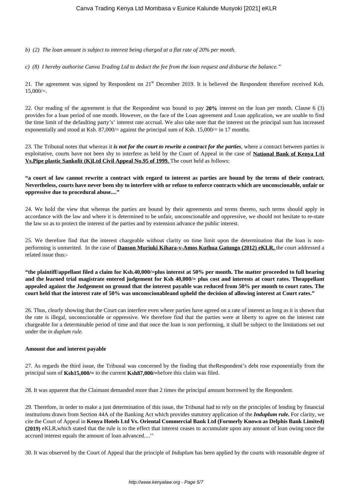*b) (2) The loan amount is subject to interest being charged at a flat rate of 20% per month.* 

*c) (8) I hereby authorise Canva Trading Ltd to deduct the fee from the loan request and disburse the balance."* 

21. The agreement was signed by Respondent on 21<sup>st</sup> December 2019. It is believed the Respondent therefore received Ksh.  $15,000/=$ .

22. Our reading of the agreement is that the Respondent was bound to pay **20%** interest on the loan per month. Clause 6 (3) provides for a loan period of one month. However, on the face of the Loan agreement and Loan application, we are unable to find the time limit of the defaulting party's' interest rate accrual. We also take note that the interest on the principal sum has increased exponentially and stood at Ksh. 87,000/= against the principal sum of Ksh. 15,000/= in 17 months.

23. The Tribunal notes that whereas it *is not for the court to rewrite a contract for the parties*, where a contract between parties is exploitative, courts have not been shy to interfere as held by the Court of Appeal in the case of **National Bank of Kenya Ltd Vs.Pipe plastic Sankolit (K)Ltd Civil Appeal No.95 of 1999.** The court held as follows:

## **"a court of law cannot rewrite a contract with regard to interest as parties are bound by the terms of their contract. Nevertheless, courts have never been shy to interfere with or refuse to enforce contracts which are unconscionable, unfair or oppressive due to procedural abuse...."**

24. We hold the view that whereas the parties are bound by their agreements and terms thereto, such terms should apply in accordance with the law and where it is determined to be unfair, unconscionable and oppressive, we should not hesitate to re-state the law so as to protect the interest of the parties and by extension advance the public interest.

25. We therefore find that the interest chargeable without clarity on time limit upon the determination that the loan is nonperforming is unmerited. In the case of **Danson Muriuki Kihara-v-Amos Kuthua Gatungo (2012) eKLR,** the court addressed a related issue thus:-

**"the plaintiff/appellant filed a claim for Ksh.40,000/=plus interest at 50% per month. The matter proceeded to full hearing and the learned trial magistrate entered judgement for Ksh 40,000/= plus cost and interests at court rates. Theappellant appealed against the Judgement on ground that the interest payable was reduced from 50% per month to court rates. The court held that the interest rate of 50% was unconscionableand upheld the decision of allowing interest at Court rates."**

26. Thus, clearly showing that the Court can interfere even where parties have agreed on a rate of interest as long as it is shown that the rate is illegal, unconscionable or oppressive. We therefore find that the parties were at liberty to agree on the interest rate chargeable for a determinable period of time and that once the loan is non performing, it shall be subject to the limitations set out under the *in duplum rule.* 

#### **Amount due and interest payable**

27. As regards the third issue, the Tribunal was concerned by the finding that theRespondent's debt rose exponentially from the principal sum of **Ksh15,000/=** to the current **Ksh87,000/=**before this claim was filed.

28. It was apparent that the Claimant demanded more than 2 times the principal amount borrowed by the Respondent.

29. Therefore, in order to make a just determination of this issue, the Tribunal had to rely on the principles of lending by financial institutions drawn from Section 44A of the Banking Act which provides statutory application of the *Induplum rule.* For clarity, we cite the Court of Appeal in **Kenya Hotels Ltd Vs. Oriental Commercial Bank Ltd (Formerly Known as Delphis Bank Limited) (2019)** eKLR,which stated that the rule is to the effect that interest ceases to accumulate upon any amount of loan owing once the accrued interest equals the amount of loan advanced....''

30. It was observed by the Court of Appeal that the principle of *Induplum* has been applied by the courts with reasonable degree of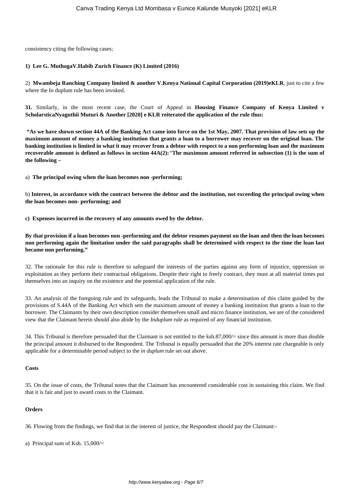consistency citing the following cases;

## **1) Lee G. MuthogaV.Habib Zurich Finance (K) Limited (2016)**

2) **Mwambeja Ranching Company limited & another V.Kenya National Capital Corporation (2019)eKLR**, just to cite a few where the In duplum rule has been invoked.

**31.** Similarly, in the most recent case, the Court of Appeal in **Housing Finance Company of Kenya Limited v ScholarsticaNyaguthii Muturi & Another [2020] e KLR reiterated the application of the rule thus:** 

**"As we have shown section 44A of the Banking Act came into force on the 1st May, 2007. That provision of law sets up the maximum amount of money a banking institution that grants a loan to a borrower may recover on the original loan. The banking institution is limited in what it may recover from a debtor with respect to a non performing loan and the maximum recoverable amount is defined as follows in section 44A(2):***"***The maximum amount referred in subsection (1) is the sum of the following –**

a) **The principal owing when the loan becomes non -performing;**

b) **Interest, in accordance with the contract between the debtor and the institution, not exceeding the principal owing when the loan becomes non- performing; and**

**c) Expenses incurred in the recovery of any amounts owed by the debtor.**

**By that provision if a loan becomes non -performing and the debtor resumes payment on the loan and then the loan becomes non performing again the limitation under the said paragraphs shall be determined with respect to the time the loan last became non performing."**

32. The rationale for this rule is therefore to safeguard the interests of the parties against any form of injustice, oppression or exploitation as they perform their contractual obligations. Despite their right to freely contract, they must at all material times put themselves into an inquiry on the existence and the potential application of the rule.

33. An analysis of the foregoing rule and its safeguards, leads the Tribunal to make a determination of this claim guided by the provisions of S.44A of the Banking Act which sets the maximum amount of money a banking institution that grants a loan to the borrower. The Claimants by their own description consider themselves small and micro finance institution, we are of the considered view that the Claimant herein should also abide by the *Induplum* rule as required of any financial institution.

34. This Tribunal is therefore persuaded that the Claimant is not entitled to the ksh.87,000/= since this amount is more than double the principal amount it disbursed to the Respondent. The Tribunal is equally persuaded that the 20% interest rate chargeable is only applicable for a determinable period subject to the *in duplum* rule set out above.

#### **Costs**

35. On the issue of costs, the Tribunal notes that the Claimant has encountered considerable cost in sustaining this claim. We find that it is fair and just to award costs to the Claimant.

#### **Orders**

36. Flowing from the findings, we find that in the interest of justice, the Respondent should pay the Claimant:-

a) Principal sum of Ksh. 15,000/=